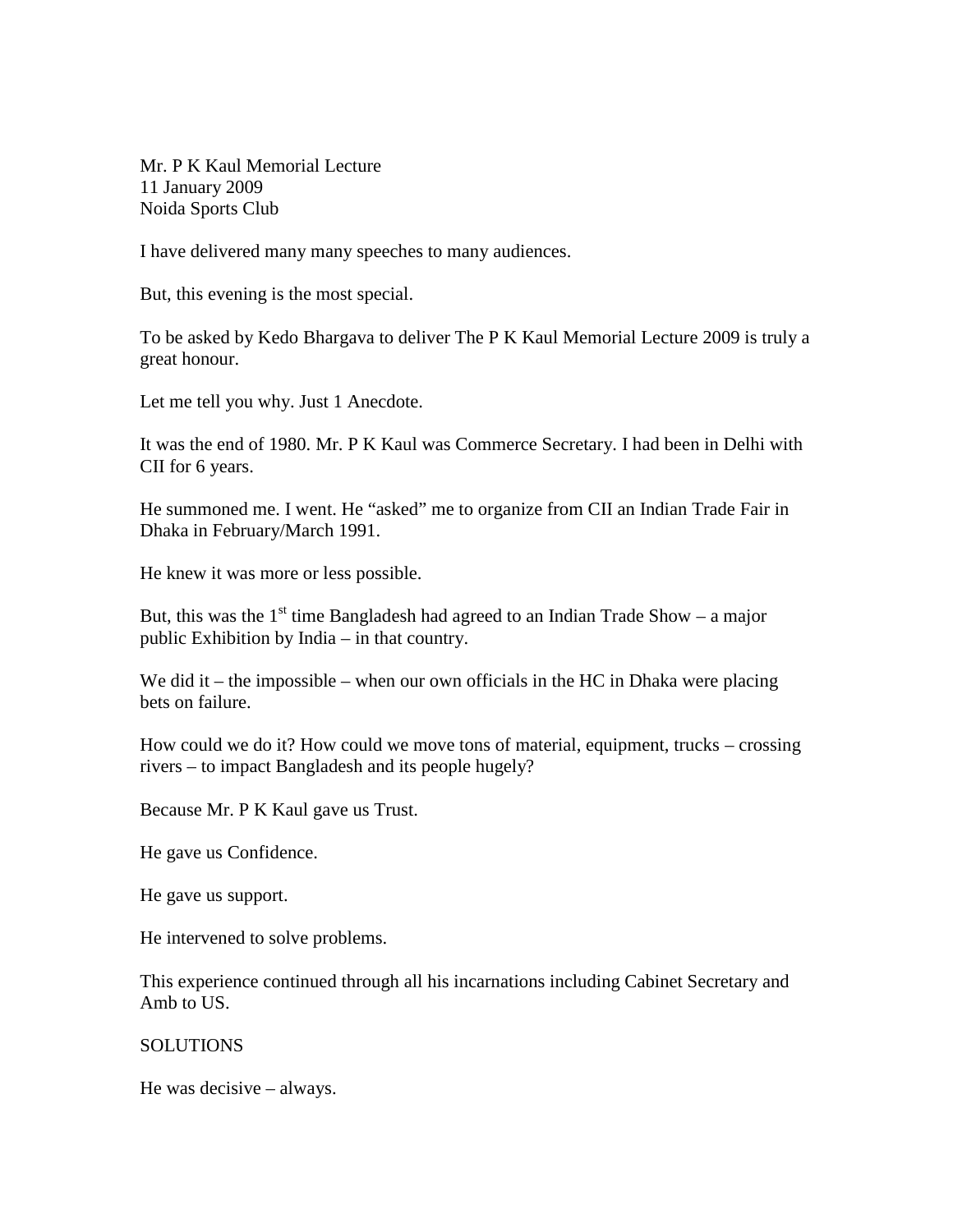Mr. P K Kaul Memorial Lecture 11 January 2009 Noida Sports Club

I have delivered many many speeches to many audiences.

But, this evening is the most special.

To be asked by Kedo Bhargava to deliver The P K Kaul Memorial Lecture 2009 is truly a great honour.

Let me tell you why. Just 1 Anecdote.

It was the end of 1980. Mr. P K Kaul was Commerce Secretary. I had been in Delhi with CII for 6 years.

He summoned me. I went. He "asked" me to organize from CII an Indian Trade Fair in Dhaka in February/March 1991.

He knew it was more or less possible.

But, this was the  $1<sup>st</sup>$  time Bangladesh had agreed to an Indian Trade Show – a major public Exhibition by India – in that country.

We did it – the impossible – when our own officials in the HC in Dhaka were placing bets on failure.

How could we do it? How could we move tons of material, equipment, trucks – crossing rivers – to impact Bangladesh and its people hugely?

Because Mr. P K Kaul gave us Trust.

He gave us Confidence.

He gave us support.

He intervened to solve problems.

This experience continued through all his incarnations including Cabinet Secretary and Amb to US.

## **SOLUTIONS**

He was decisive – always.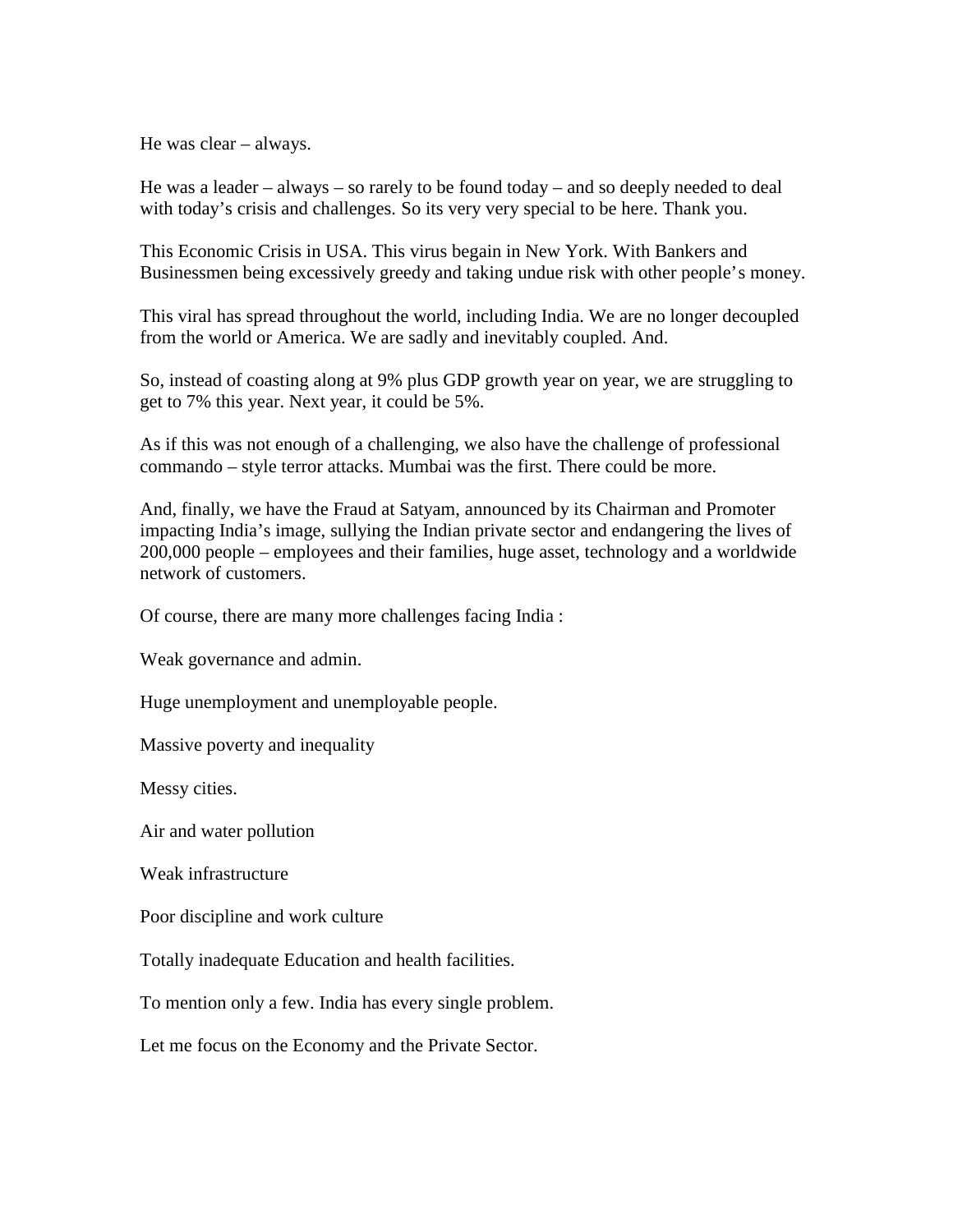He was clear – always.

He was a leader – always – so rarely to be found today – and so deeply needed to deal with today's crisis and challenges. So its very very special to be here. Thank you.

This Economic Crisis in USA. This virus begain in New York. With Bankers and Businessmen being excessively greedy and taking undue risk with other people's money.

This viral has spread throughout the world, including India. We are no longer decoupled from the world or America. We are sadly and inevitably coupled. And.

So, instead of coasting along at 9% plus GDP growth year on year, we are struggling to get to 7% this year. Next year, it could be 5%.

As if this was not enough of a challenging, we also have the challenge of professional commando – style terror attacks. Mumbai was the first. There could be more.

And, finally, we have the Fraud at Satyam, announced by its Chairman and Promoter impacting India's image, sullying the Indian private sector and endangering the lives of 200,000 people – employees and their families, huge asset, technology and a worldwide network of customers.

Of course, there are many more challenges facing India :

Weak governance and admin.

Huge unemployment and unemployable people.

Massive poverty and inequality

Messy cities.

Air and water pollution

Weak infrastructure

Poor discipline and work culture

Totally inadequate Education and health facilities.

To mention only a few. India has every single problem.

Let me focus on the Economy and the Private Sector.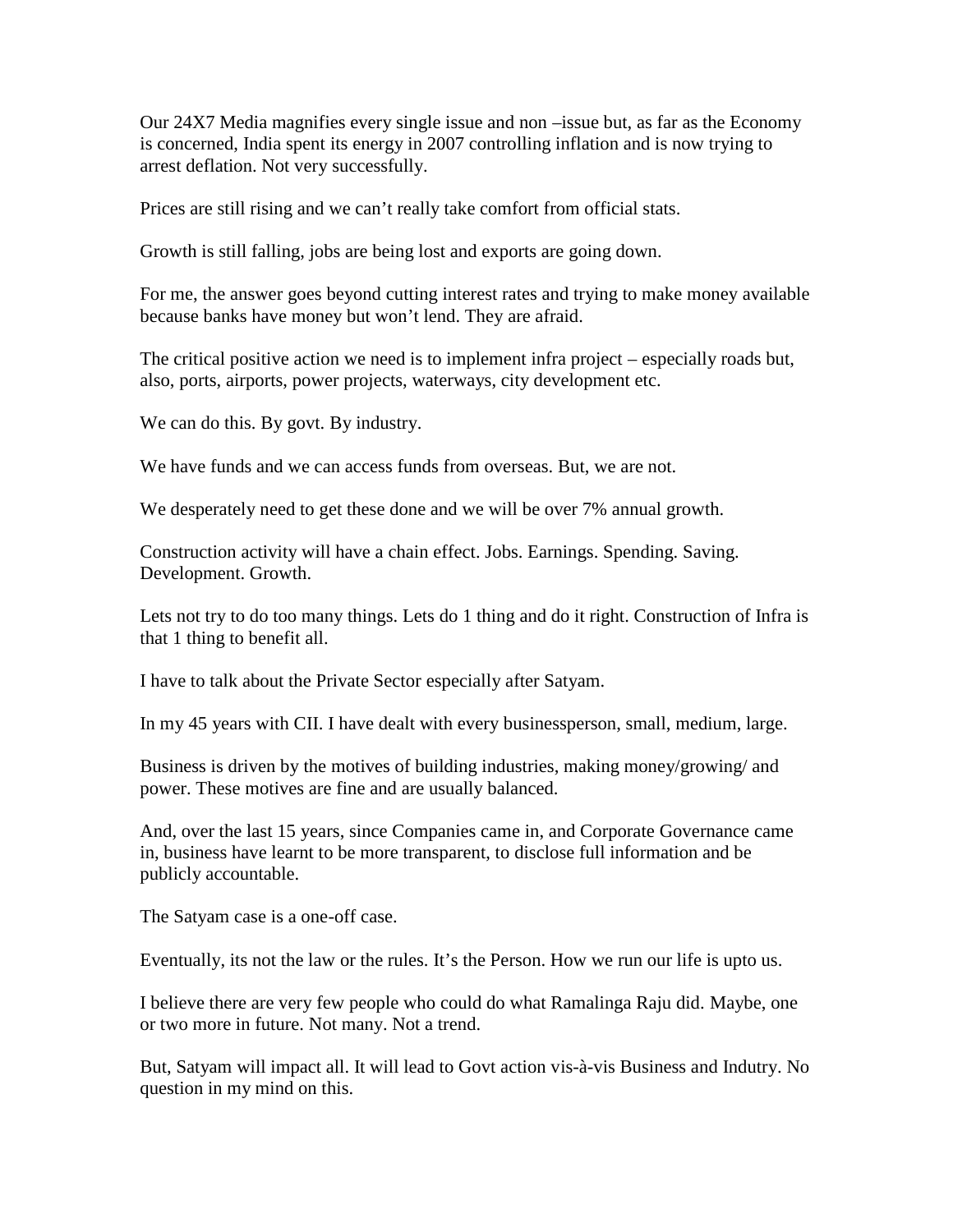Our 24X7 Media magnifies every single issue and non –issue but, as far as the Economy is concerned, India spent its energy in 2007 controlling inflation and is now trying to arrest deflation. Not very successfully.

Prices are still rising and we can't really take comfort from official stats.

Growth is still falling, jobs are being lost and exports are going down.

For me, the answer goes beyond cutting interest rates and trying to make money available because banks have money but won't lend. They are afraid.

The critical positive action we need is to implement infra project – especially roads but, also, ports, airports, power projects, waterways, city development etc.

We can do this. By govt. By industry.

We have funds and we can access funds from overseas. But, we are not.

We desperately need to get these done and we will be over 7% annual growth.

Construction activity will have a chain effect. Jobs. Earnings. Spending. Saving. Development. Growth.

Lets not try to do too many things. Lets do 1 thing and do it right. Construction of Infra is that 1 thing to benefit all.

I have to talk about the Private Sector especially after Satyam.

In my 45 years with CII. I have dealt with every businessperson, small, medium, large.

Business is driven by the motives of building industries, making money/growing/ and power. These motives are fine and are usually balanced.

And, over the last 15 years, since Companies came in, and Corporate Governance came in, business have learnt to be more transparent, to disclose full information and be publicly accountable.

The Satyam case is a one-off case.

Eventually, its not the law or the rules. It's the Person. How we run our life is upto us.

I believe there are very few people who could do what Ramalinga Raju did. Maybe, one or two more in future. Not many. Not a trend.

But, Satyam will impact all. It will lead to Govt action vis-à-vis Business and Indutry. No question in my mind on this.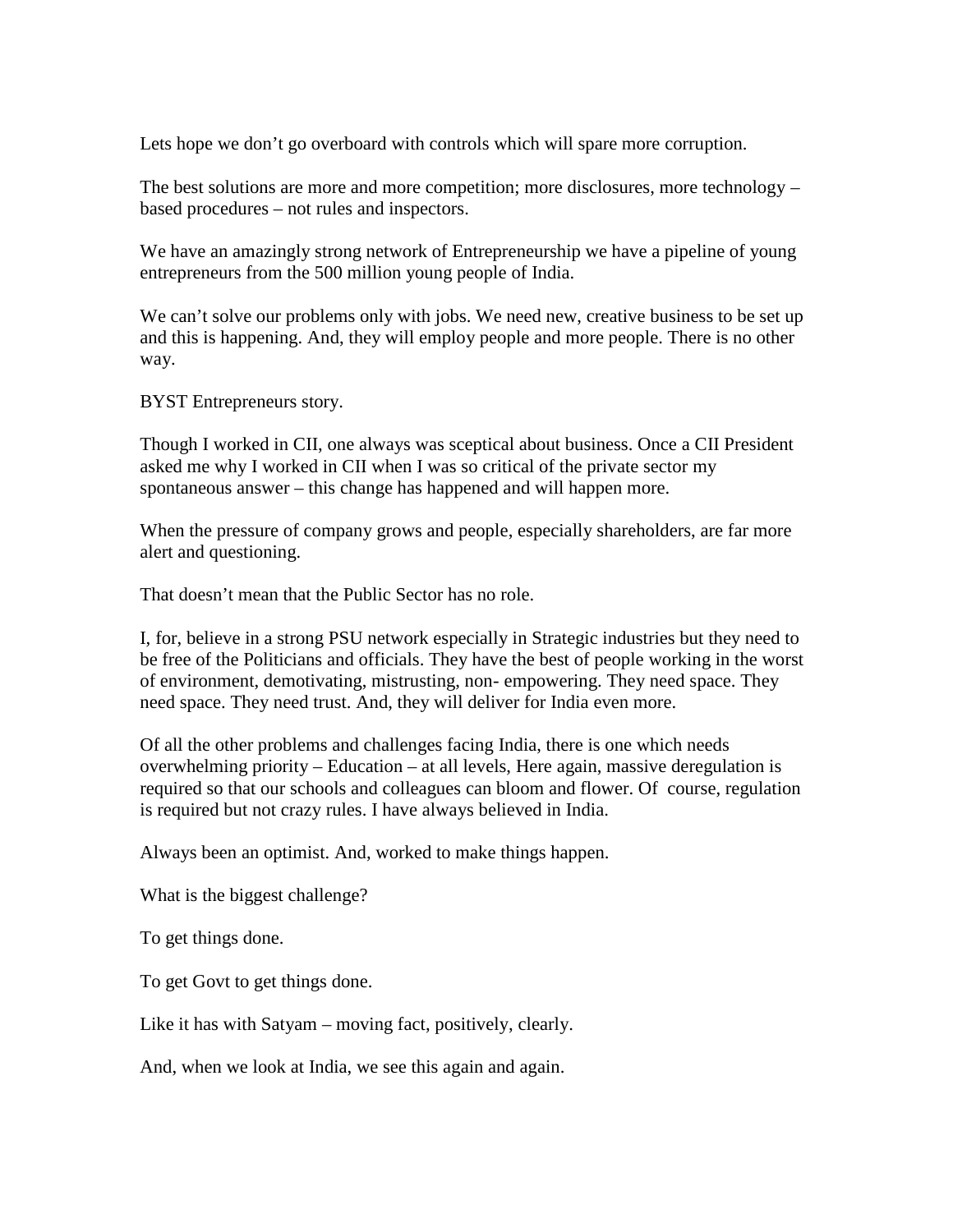Lets hope we don't go overboard with controls which will spare more corruption.

The best solutions are more and more competition; more disclosures, more technology – based procedures – not rules and inspectors.

We have an amazingly strong network of Entrepreneurship we have a pipeline of young entrepreneurs from the 500 million young people of India.

We can't solve our problems only with jobs. We need new, creative business to be set up and this is happening. And, they will employ people and more people. There is no other way.

BYST Entrepreneurs story.

Though I worked in CII, one always was sceptical about business. Once a CII President asked me why I worked in CII when I was so critical of the private sector my spontaneous answer – this change has happened and will happen more.

When the pressure of company grows and people, especially shareholders, are far more alert and questioning.

That doesn't mean that the Public Sector has no role.

I, for, believe in a strong PSU network especially in Strategic industries but they need to be free of the Politicians and officials. They have the best of people working in the worst of environment, demotivating, mistrusting, non- empowering. They need space. They need space. They need trust. And, they will deliver for India even more.

Of all the other problems and challenges facing India, there is one which needs overwhelming priority – Education – at all levels, Here again, massive deregulation is required so that our schools and colleagues can bloom and flower. Of course, regulation is required but not crazy rules. I have always believed in India.

Always been an optimist. And, worked to make things happen.

What is the biggest challenge?

To get things done.

To get Govt to get things done.

Like it has with Satyam – moving fact, positively, clearly.

And, when we look at India, we see this again and again.